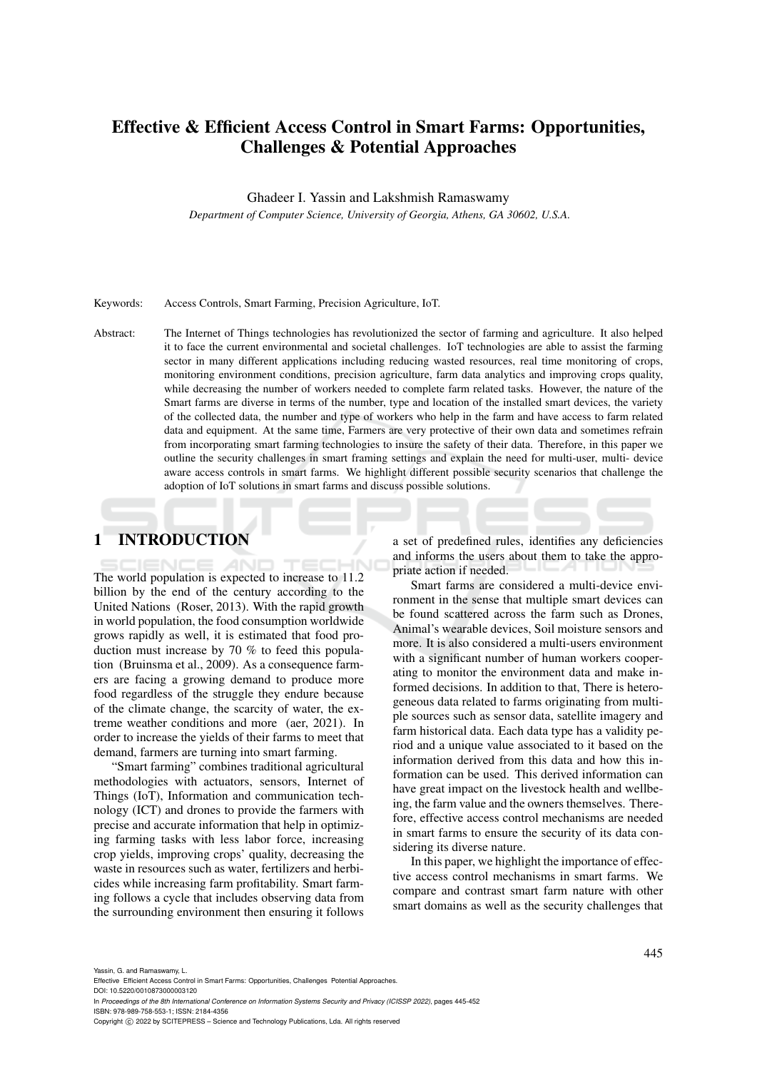# Effective & Efficient Access Control in Smart Farms: Opportunities, Challenges & Potential Approaches

Ghadeer I. Yassin and Lakshmish Ramaswamy

*Department of Computer Science, University of Georgia, Athens, GA 30602, U.S.A.*

#### Keywords: Access Controls, Smart Farming, Precision Agriculture, IoT.

Abstract: The Internet of Things technologies has revolutionized the sector of farming and agriculture. It also helped it to face the current environmental and societal challenges. IoT technologies are able to assist the farming sector in many different applications including reducing wasted resources, real time monitoring of crops, monitoring environment conditions, precision agriculture, farm data analytics and improving crops quality, while decreasing the number of workers needed to complete farm related tasks. However, the nature of the Smart farms are diverse in terms of the number, type and location of the installed smart devices, the variety of the collected data, the number and type of workers who help in the farm and have access to farm related data and equipment. At the same time, Farmers are very protective of their own data and sometimes refrain from incorporating smart farming technologies to insure the safety of their data. Therefore, in this paper we outline the security challenges in smart framing settings and explain the need for multi-user, multi- device aware access controls in smart farms. We highlight different possible security scenarios that challenge the adoption of IoT solutions in smart farms and discuss possible solutions.

# 1 INTRODUCTION

The world population is expected to increase to 11.2 billion by the end of the century according to the United Nations (Roser, 2013). With the rapid growth in world population, the food consumption worldwide grows rapidly as well, it is estimated that food production must increase by 70 % to feed this population (Bruinsma et al., 2009). As a consequence farmers are facing a growing demand to produce more food regardless of the struggle they endure because of the climate change, the scarcity of water, the extreme weather conditions and more (aer, 2021). In order to increase the yields of their farms to meet that demand, farmers are turning into smart farming.

"Smart farming" combines traditional agricultural methodologies with actuators, sensors, Internet of Things (IoT), Information and communication technology (ICT) and drones to provide the farmers with precise and accurate information that help in optimizing farming tasks with less labor force, increasing crop yields, improving crops' quality, decreasing the waste in resources such as water, fertilizers and herbicides while increasing farm profitability. Smart farming follows a cycle that includes observing data from the surrounding environment then ensuring it follows

a set of predefined rules, identifies any deficiencies and informs the users about them to take the appropriate action if needed.

Smart farms are considered a multi-device environment in the sense that multiple smart devices can be found scattered across the farm such as Drones, Animal's wearable devices, Soil moisture sensors and more. It is also considered a multi-users environment with a significant number of human workers cooperating to monitor the environment data and make informed decisions. In addition to that, There is heterogeneous data related to farms originating from multiple sources such as sensor data, satellite imagery and farm historical data. Each data type has a validity period and a unique value associated to it based on the information derived from this data and how this information can be used. This derived information can have great impact on the livestock health and wellbeing, the farm value and the owners themselves. Therefore, effective access control mechanisms are needed in smart farms to ensure the security of its data considering its diverse nature.

In this paper, we highlight the importance of effective access control mechanisms in smart farms. We compare and contrast smart farm nature with other smart domains as well as the security challenges that

Yassin, G. and Ramaswamy, L.

In *Proceedings of the 8th International Conference on Information Systems Security and Privacy (ICISSP 2022)*, pages 445-452 ISBN: 978-989-758-553-1; ISSN: 2184-4356

Effective Efficient Access Control in Smart Farms: Opportunities, Challenges Potential Approaches.

DOI: 10.5220/0010873000003120

Copyright (C) 2022 by SCITEPRESS - Science and Technology Publications, Lda. All rights reserved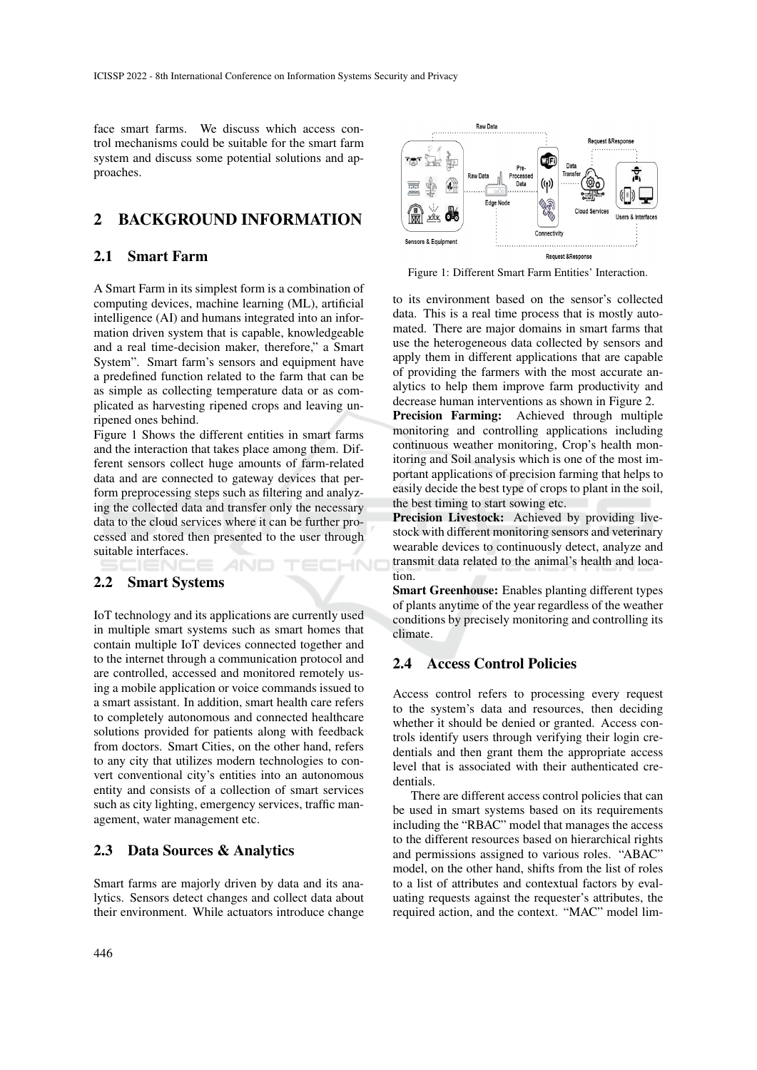face smart farms. We discuss which access control mechanisms could be suitable for the smart farm system and discuss some potential solutions and approaches.

## 2 BACKGROUND INFORMATION

## 2.1 Smart Farm

A Smart Farm in its simplest form is a combination of computing devices, machine learning (ML), artificial intelligence (AI) and humans integrated into an information driven system that is capable, knowledgeable and a real time-decision maker, therefore," a Smart System". Smart farm's sensors and equipment have a predefined function related to the farm that can be as simple as collecting temperature data or as complicated as harvesting ripened crops and leaving unripened ones behind.

Figure 1 Shows the different entities in smart farms and the interaction that takes place among them. Different sensors collect huge amounts of farm-related data and are connected to gateway devices that perform preprocessing steps such as filtering and analyzing the collected data and transfer only the necessary data to the cloud services where it can be further processed and stored then presented to the user through suitable interfaces.

HNC

### 2.2 Smart Systems

IoT technology and its applications are currently used in multiple smart systems such as smart homes that contain multiple IoT devices connected together and to the internet through a communication protocol and are controlled, accessed and monitored remotely using a mobile application or voice commands issued to a smart assistant. In addition, smart health care refers to completely autonomous and connected healthcare solutions provided for patients along with feedback from doctors. Smart Cities, on the other hand, refers to any city that utilizes modern technologies to convert conventional city's entities into an autonomous entity and consists of a collection of smart services such as city lighting, emergency services, traffic management, water management etc.

#### 2.3 Data Sources & Analytics

Smart farms are majorly driven by data and its analytics. Sensors detect changes and collect data about their environment. While actuators introduce change



Figure 1: Different Smart Farm Entities' Interaction.

to its environment based on the sensor's collected data. This is a real time process that is mostly automated. There are major domains in smart farms that use the heterogeneous data collected by sensors and apply them in different applications that are capable of providing the farmers with the most accurate analytics to help them improve farm productivity and decrease human interventions as shown in Figure 2.

Precision Farming: Achieved through multiple monitoring and controlling applications including continuous weather monitoring, Crop's health monitoring and Soil analysis which is one of the most important applications of precision farming that helps to easily decide the best type of crops to plant in the soil, the best timing to start sowing etc.

Precision Livestock: Achieved by providing livestock with different monitoring sensors and veterinary wearable devices to continuously detect, analyze and transmit data related to the animal's health and location.

Smart Greenhouse: Enables planting different types of plants anytime of the year regardless of the weather conditions by precisely monitoring and controlling its climate.

### 2.4 Access Control Policies

Access control refers to processing every request to the system's data and resources, then deciding whether it should be denied or granted. Access controls identify users through verifying their login credentials and then grant them the appropriate access level that is associated with their authenticated credentials.

There are different access control policies that can be used in smart systems based on its requirements including the "RBAC" model that manages the access to the different resources based on hierarchical rights and permissions assigned to various roles. "ABAC" model, on the other hand, shifts from the list of roles to a list of attributes and contextual factors by evaluating requests against the requester's attributes, the required action, and the context. "MAC" model lim-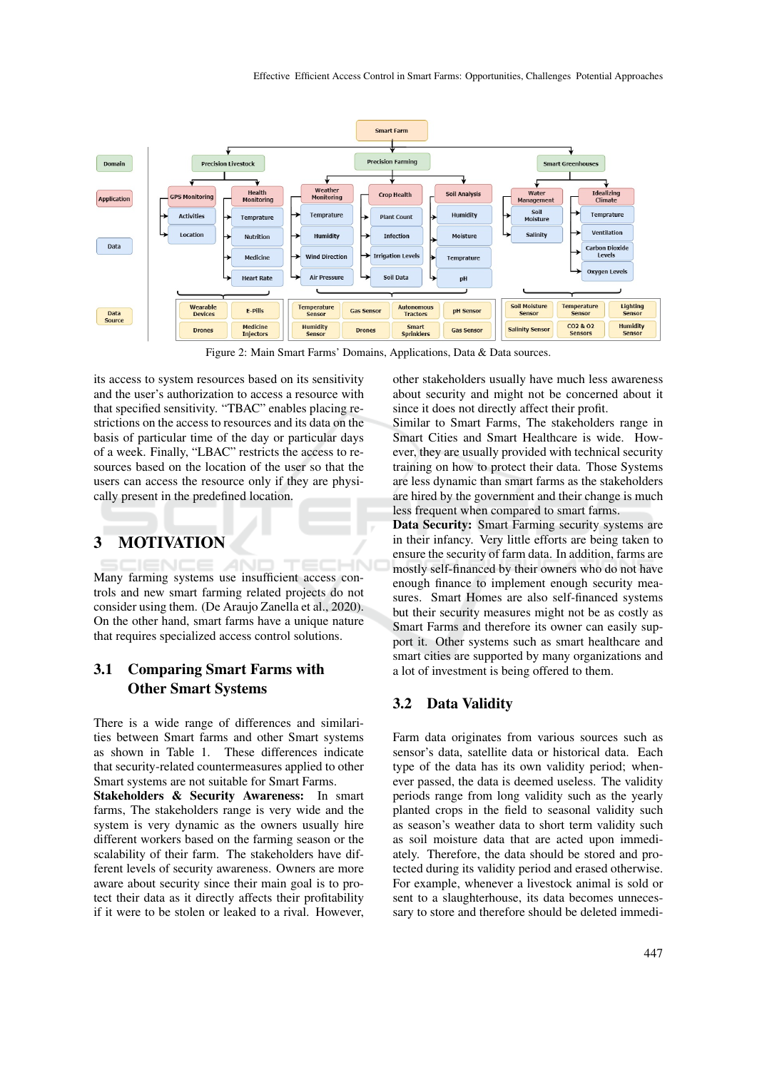

Figure 2: Main Smart Farms' Domains, Applications, Data & Data sources.

its access to system resources based on its sensitivity and the user's authorization to access a resource with that specified sensitivity. "TBAC" enables placing restrictions on the access to resources and its data on the basis of particular time of the day or particular days of a week. Finally, "LBAC" restricts the access to resources based on the location of the user so that the users can access the resource only if they are physically present in the predefined location.

# 3 MOTIVATION

Many farming systems use insufficient access controls and new smart farming related projects do not consider using them. (De Araujo Zanella et al., 2020). On the other hand, smart farms have a unique nature that requires specialized access control solutions.

## 3.1 Comparing Smart Farms with Other Smart Systems

There is a wide range of differences and similarities between Smart farms and other Smart systems as shown in Table 1. These differences indicate that security-related countermeasures applied to other Smart systems are not suitable for Smart Farms.

Stakeholders & Security Awareness: In smart farms, The stakeholders range is very wide and the system is very dynamic as the owners usually hire different workers based on the farming season or the scalability of their farm. The stakeholders have different levels of security awareness. Owners are more aware about security since their main goal is to protect their data as it directly affects their profitability if it were to be stolen or leaked to a rival. However,

other stakeholders usually have much less awareness about security and might not be concerned about it since it does not directly affect their profit.

Similar to Smart Farms, The stakeholders range in Smart Cities and Smart Healthcare is wide. However, they are usually provided with technical security training on how to protect their data. Those Systems are less dynamic than smart farms as the stakeholders are hired by the government and their change is much less frequent when compared to smart farms.

Data Security: Smart Farming security systems are in their infancy. Very little efforts are being taken to ensure the security of farm data. In addition, farms are mostly self-financed by their owners who do not have enough finance to implement enough security measures. Smart Homes are also self-financed systems but their security measures might not be as costly as Smart Farms and therefore its owner can easily support it. Other systems such as smart healthcare and smart cities are supported by many organizations and a lot of investment is being offered to them.

## 3.2 Data Validity

Farm data originates from various sources such as sensor's data, satellite data or historical data. Each type of the data has its own validity period; whenever passed, the data is deemed useless. The validity periods range from long validity such as the yearly planted crops in the field to seasonal validity such as season's weather data to short term validity such as soil moisture data that are acted upon immediately. Therefore, the data should be stored and protected during its validity period and erased otherwise. For example, whenever a livestock animal is sold or sent to a slaughterhouse, its data becomes unnecessary to store and therefore should be deleted immedi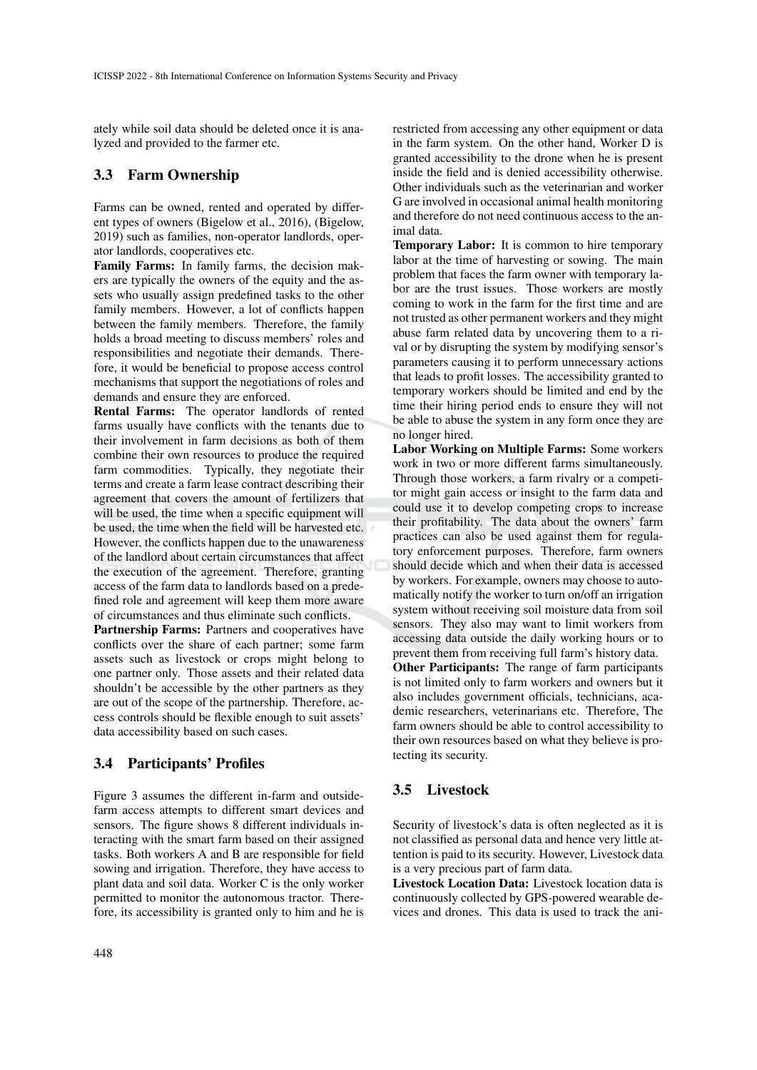ately while soil data should be deleted once it is analyzed and provided to the farmer etc.

### 3.3 Farm Ownership

Farms can be owned, rented and operated by different types of owners (Bigelow et al., 2016), (Bigelow, 2019) such as families, non-operator landlords, operator landlords, cooperatives etc.

Family Farms: In family farms, the decision makers are typically the owners of the equity and the assets who usually assign predefined tasks to the other family members. However, a lot of conflicts happen between the family members. Therefore, the family holds a broad meeting to discuss members' roles and responsibilities and negotiate their demands. Therefore, it would be beneficial to propose access control mechanisms that support the negotiations of roles and demands and ensure they are enforced.

Rental Farms: The operator landlords of rented farms usually have conflicts with the tenants due to their involvement in farm decisions as both of them combine their own resources to produce the required farm commodities. Typically, they negotiate their terms and create a farm lease contract describing their agreement that covers the amount of fertilizers that will be used, the time when a specific equipment will be used, the time when the field will be harvested etc. However, the conflicts happen due to the unawareness of the landlord about certain circumstances that affect the execution of the agreement. Therefore, granting access of the farm data to landlords based on a predefined role and agreement will keep them more aware of circumstances and thus eliminate such conflicts.

Partnership Farms: Partners and cooperatives have conflicts over the share of each partner; some farm assets such as livestock or crops might belong to one partner only. Those assets and their related data shouldn't be accessible by the other partners as they are out of the scope of the partnership. Therefore, access controls should be flexible enough to suit assets' data accessibility based on such cases.

## 3.4 Participants' Profiles

Figure 3 assumes the different in-farm and outsidefarm access attempts to different smart devices and sensors. The figure shows 8 different individuals interacting with the smart farm based on their assigned tasks. Both workers A and B are responsible for field sowing and irrigation. Therefore, they have access to plant data and soil data. Worker C is the only worker permitted to monitor the autonomous tractor. Therefore, its accessibility is granted only to him and he is

restricted from accessing any other equipment or data in the farm system. On the other hand, Worker D is granted accessibility to the drone when he is present inside the field and is denied accessibility otherwise. Other individuals such as the veterinarian and worker G are involved in occasional animal health monitoring and therefore do not need continuous access to the animal data.

Temporary Labor: It is common to hire temporary labor at the time of harvesting or sowing. The main problem that faces the farm owner with temporary labor are the trust issues. Those workers are mostly coming to work in the farm for the first time and are not trusted as other permanent workers and they might abuse farm related data by uncovering them to a rival or by disrupting the system by modifying sensor's parameters causing it to perform unnecessary actions that leads to profit losses. The accessibility granted to temporary workers should be limited and end by the time their hiring period ends to ensure they will not be able to abuse the system in any form once they are no longer hired.

Labor Working on Multiple Farms: Some workers work in two or more different farms simultaneously. Through those workers, a farm rivalry or a competitor might gain access or insight to the farm data and could use it to develop competing crops to increase their profitability. The data about the owners' farm practices can also be used against them for regulatory enforcement purposes. Therefore, farm owners should decide which and when their data is accessed by workers. For example, owners may choose to automatically notify the worker to turn on/off an irrigation system without receiving soil moisture data from soil sensors. They also may want to limit workers from accessing data outside the daily working hours or to prevent them from receiving full farm's history data. Other Participants: The range of farm participants is not limited only to farm workers and owners but it also includes government officials, technicians, academic researchers, veterinarians etc. Therefore, The farm owners should be able to control accessibility to their own resources based on what they believe is protecting its security.

## 3.5 Livestock

Security of livestock's data is often neglected as it is not classified as personal data and hence very little attention is paid to its security. However, Livestock data is a very precious part of farm data.

Livestock Location Data: Livestock location data is continuously collected by GPS-powered wearable devices and drones. This data is used to track the ani-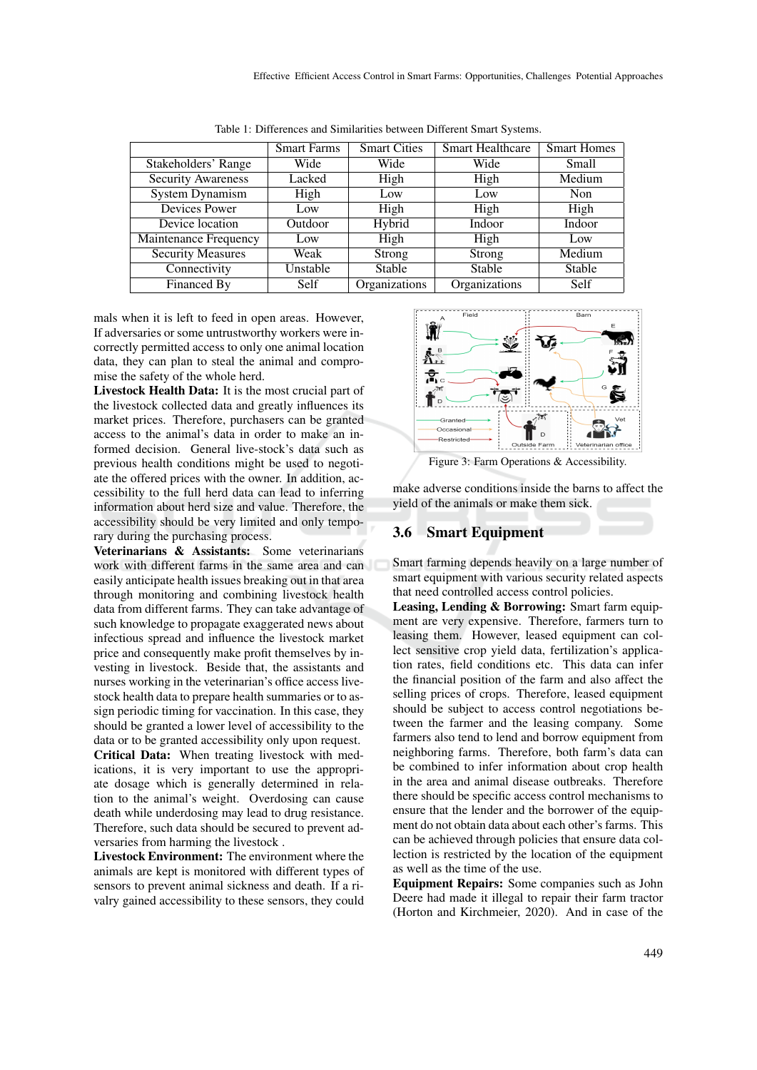|                           | <b>Smart Farms</b> | <b>Smart Cities</b> | <b>Smart Healthcare</b> | <b>Smart Homes</b> |
|---------------------------|--------------------|---------------------|-------------------------|--------------------|
| Stakeholders' Range       | Wide               | Wide                | Wide                    | Small              |
| <b>Security Awareness</b> | Lacked             | High                | High                    | Medium             |
| <b>System Dynamism</b>    | High               | Low                 | Low                     | Non                |
| Devices Power             | Low                | High                | High                    | High               |
| Device location           | Outdoor            | Hybrid              | Indoor                  | Indoor             |
| Maintenance Frequency     | Low                | High                | High                    | Low                |
| <b>Security Measures</b>  | Weak               | Strong              | Strong                  | Medium             |
| Connectivity              | Unstable           | Stable              | Stable                  | Stable             |
| Financed By               | <b>Self</b>        | Organizations       | Organizations           | Self               |

Table 1: Differences and Similarities between Different Smart Systems.

mals when it is left to feed in open areas. However, If adversaries or some untrustworthy workers were incorrectly permitted access to only one animal location data, they can plan to steal the animal and compromise the safety of the whole herd.

Livestock Health Data: It is the most crucial part of the livestock collected data and greatly influences its market prices. Therefore, purchasers can be granted access to the animal's data in order to make an informed decision. General live-stock's data such as previous health conditions might be used to negotiate the offered prices with the owner. In addition, accessibility to the full herd data can lead to inferring information about herd size and value. Therefore, the accessibility should be very limited and only temporary during the purchasing process.

Veterinarians & Assistants: Some veterinarians work with different farms in the same area and can easily anticipate health issues breaking out in that area through monitoring and combining livestock health data from different farms. They can take advantage of such knowledge to propagate exaggerated news about infectious spread and influence the livestock market price and consequently make profit themselves by investing in livestock. Beside that, the assistants and nurses working in the veterinarian's office access livestock health data to prepare health summaries or to assign periodic timing for vaccination. In this case, they should be granted a lower level of accessibility to the data or to be granted accessibility only upon request. Critical Data: When treating livestock with medications, it is very important to use the appropri-

ate dosage which is generally determined in relation to the animal's weight. Overdosing can cause death while underdosing may lead to drug resistance. Therefore, such data should be secured to prevent adversaries from harming the livestock .

Livestock Environment: The environment where the animals are kept is monitored with different types of sensors to prevent animal sickness and death. If a rivalry gained accessibility to these sensors, they could



make adverse conditions inside the barns to affect the yield of the animals or make them sick.

#### 3.6 Smart Equipment

Smart farming depends heavily on a large number of smart equipment with various security related aspects that need controlled access control policies.

Leasing, Lending & Borrowing: Smart farm equipment are very expensive. Therefore, farmers turn to leasing them. However, leased equipment can collect sensitive crop yield data, fertilization's application rates, field conditions etc. This data can infer the financial position of the farm and also affect the selling prices of crops. Therefore, leased equipment should be subject to access control negotiations between the farmer and the leasing company. Some farmers also tend to lend and borrow equipment from neighboring farms. Therefore, both farm's data can be combined to infer information about crop health in the area and animal disease outbreaks. Therefore there should be specific access control mechanisms to ensure that the lender and the borrower of the equipment do not obtain data about each other's farms. This can be achieved through policies that ensure data collection is restricted by the location of the equipment as well as the time of the use.

Equipment Repairs: Some companies such as John Deere had made it illegal to repair their farm tractor (Horton and Kirchmeier, 2020). And in case of the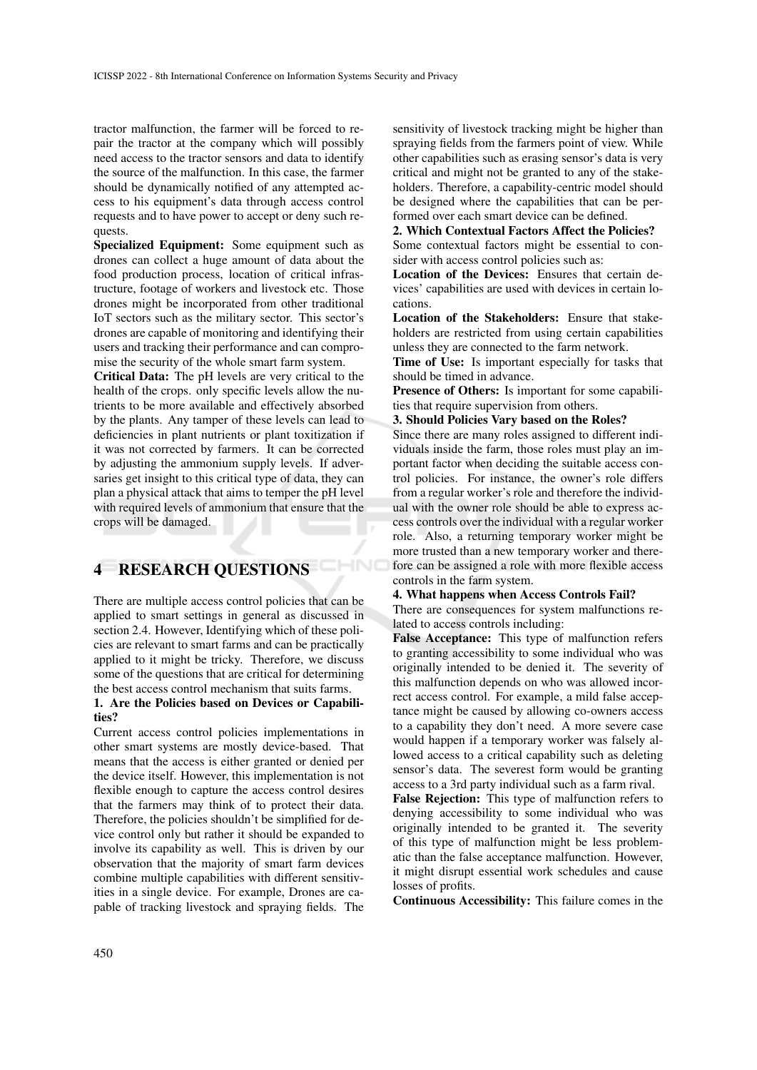tractor malfunction, the farmer will be forced to repair the tractor at the company which will possibly need access to the tractor sensors and data to identify the source of the malfunction. In this case, the farmer should be dynamically notified of any attempted access to his equipment's data through access control requests and to have power to accept or deny such requests.

Specialized Equipment: Some equipment such as drones can collect a huge amount of data about the food production process, location of critical infrastructure, footage of workers and livestock etc. Those drones might be incorporated from other traditional IoT sectors such as the military sector. This sector's drones are capable of monitoring and identifying their users and tracking their performance and can compromise the security of the whole smart farm system.

Critical Data: The pH levels are very critical to the health of the crops. only specific levels allow the nutrients to be more available and effectively absorbed by the plants. Any tamper of these levels can lead to deficiencies in plant nutrients or plant toxitization if it was not corrected by farmers. It can be corrected by adjusting the ammonium supply levels. If adversaries get insight to this critical type of data, they can plan a physical attack that aims to temper the pH level with required levels of ammonium that ensure that the crops will be damaged.

# 4 RESEARCH QUESTIONS

There are multiple access control policies that can be applied to smart settings in general as discussed in section 2.4. However, Identifying which of these policies are relevant to smart farms and can be practically applied to it might be tricky. Therefore, we discuss some of the questions that are critical for determining the best access control mechanism that suits farms.

CHNO

#### 1. Are the Policies based on Devices or Capabilities?

Current access control policies implementations in other smart systems are mostly device-based. That means that the access is either granted or denied per the device itself. However, this implementation is not flexible enough to capture the access control desires that the farmers may think of to protect their data. Therefore, the policies shouldn't be simplified for device control only but rather it should be expanded to involve its capability as well. This is driven by our observation that the majority of smart farm devices combine multiple capabilities with different sensitivities in a single device. For example, Drones are capable of tracking livestock and spraying fields. The

sensitivity of livestock tracking might be higher than spraying fields from the farmers point of view. While other capabilities such as erasing sensor's data is very critical and might not be granted to any of the stakeholders. Therefore, a capability-centric model should be designed where the capabilities that can be performed over each smart device can be defined.

#### 2. Which Contextual Factors Affect the Policies?

Some contextual factors might be essential to consider with access control policies such as:

Location of the Devices: Ensures that certain devices' capabilities are used with devices in certain locations.

Location of the Stakeholders: Ensure that stakeholders are restricted from using certain capabilities unless they are connected to the farm network.

Time of Use: Is important especially for tasks that should be timed in advance.

Presence of Others: Is important for some capabilities that require supervision from others.

#### 3. Should Policies Vary based on the Roles?

Since there are many roles assigned to different individuals inside the farm, those roles must play an important factor when deciding the suitable access control policies. For instance, the owner's role differs from a regular worker's role and therefore the individual with the owner role should be able to express access controls over the individual with a regular worker role. Also, a returning temporary worker might be more trusted than a new temporary worker and therefore can be assigned a role with more flexible access controls in the farm system.

#### 4. What happens when Access Controls Fail?

There are consequences for system malfunctions related to access controls including:

False Acceptance: This type of malfunction refers to granting accessibility to some individual who was originally intended to be denied it. The severity of this malfunction depends on who was allowed incorrect access control. For example, a mild false acceptance might be caused by allowing co-owners access to a capability they don't need. A more severe case would happen if a temporary worker was falsely allowed access to a critical capability such as deleting sensor's data. The severest form would be granting access to a 3rd party individual such as a farm rival.

False Rejection: This type of malfunction refers to denying accessibility to some individual who was originally intended to be granted it. The severity of this type of malfunction might be less problematic than the false acceptance malfunction. However, it might disrupt essential work schedules and cause losses of profits.

Continuous Accessibility: This failure comes in the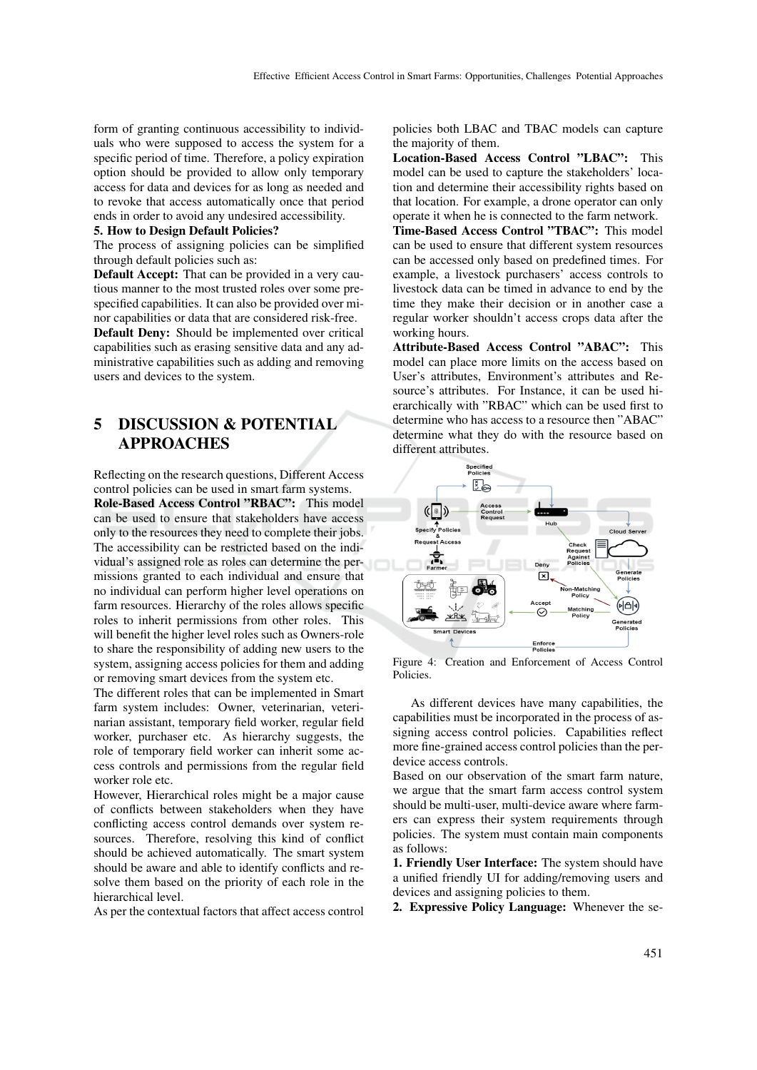form of granting continuous accessibility to individuals who were supposed to access the system for a specific period of time. Therefore, a policy expiration option should be provided to allow only temporary access for data and devices for as long as needed and to revoke that access automatically once that period ends in order to avoid any undesired accessibility.

#### 5. How to Design Default Policies?

The process of assigning policies can be simplified through default policies such as:

Default Accept: That can be provided in a very cautious manner to the most trusted roles over some prespecified capabilities. It can also be provided over minor capabilities or data that are considered risk-free.

Default Deny: Should be implemented over critical capabilities such as erasing sensitive data and any administrative capabilities such as adding and removing users and devices to the system.

# 5 DISCUSSION & POTENTIAL APPROACHES

Reflecting on the research questions, Different Access control policies can be used in smart farm systems. Role-Based Access Control "RBAC": This model can be used to ensure that stakeholders have access only to the resources they need to complete their jobs. The accessibility can be restricted based on the individual's assigned role as roles can determine the permissions granted to each individual and ensure that no individual can perform higher level operations on farm resources. Hierarchy of the roles allows specific roles to inherit permissions from other roles. This will benefit the higher level roles such as Owners-role to share the responsibility of adding new users to the system, assigning access policies for them and adding or removing smart devices from the system etc.

The different roles that can be implemented in Smart farm system includes: Owner, veterinarian, veterinarian assistant, temporary field worker, regular field worker, purchaser etc. As hierarchy suggests, the role of temporary field worker can inherit some access controls and permissions from the regular field worker role etc.

However, Hierarchical roles might be a major cause of conflicts between stakeholders when they have conflicting access control demands over system resources. Therefore, resolving this kind of conflict should be achieved automatically. The smart system should be aware and able to identify conflicts and resolve them based on the priority of each role in the hierarchical level.

As per the contextual factors that affect access control

policies both LBAC and TBAC models can capture the majority of them.

Location-Based Access Control "LBAC": This model can be used to capture the stakeholders' location and determine their accessibility rights based on that location. For example, a drone operator can only operate it when he is connected to the farm network.

Time-Based Access Control "TBAC": This model can be used to ensure that different system resources can be accessed only based on predefined times. For example, a livestock purchasers' access controls to livestock data can be timed in advance to end by the time they make their decision or in another case a regular worker shouldn't access crops data after the working hours.

Attribute-Based Access Control "ABAC": This model can place more limits on the access based on User's attributes, Environment's attributes and Resource's attributes. For Instance, it can be used hierarchically with "RBAC" which can be used first to determine who has access to a resource then "ABAC" determine what they do with the resource based on different attributes.



Figure 4: Creation and Enforcement of Access Control Policies.

As different devices have many capabilities, the capabilities must be incorporated in the process of assigning access control policies. Capabilities reflect more fine-grained access control policies than the perdevice access controls.

Based on our observation of the smart farm nature, we argue that the smart farm access control system should be multi-user, multi-device aware where farmers can express their system requirements through policies. The system must contain main components as follows:

1. Friendly User Interface: The system should have a unified friendly UI for adding/removing users and devices and assigning policies to them.

2. Expressive Policy Language: Whenever the se-